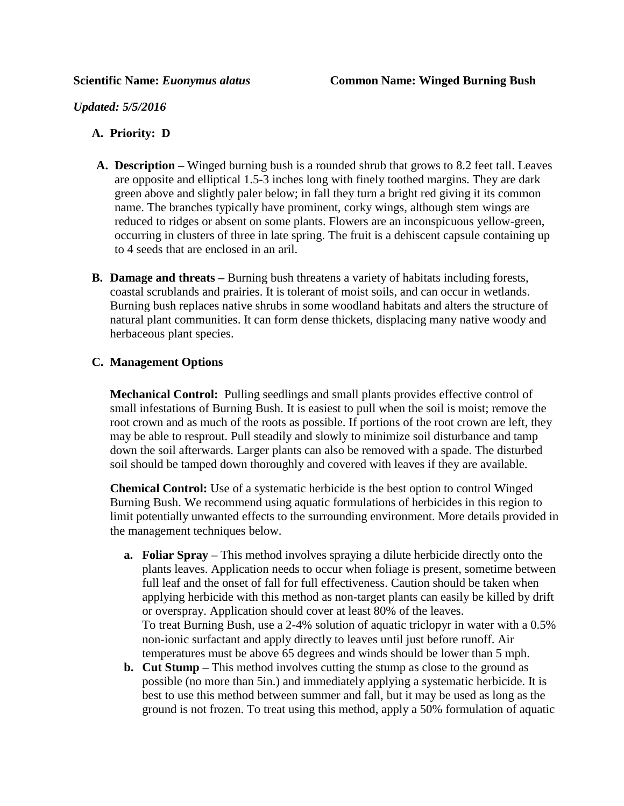*Updated: 5/5/2016*

## **A. Priority: D**

- **A. Description –** Winged burning bush is a rounded shrub that grows to 8.2 feet tall. Leaves are opposite and elliptical 1.5-3 inches long with finely toothed margins. They are dark green above and slightly paler below; in fall they turn a bright red giving it its common name. The branches typically have prominent, corky wings, although stem wings are reduced to ridges or absent on some plants. Flowers are an inconspicuous yellow-green, occurring in clusters of three in late spring. The fruit is a dehiscent capsule containing up to 4 seeds that are enclosed in an aril.
- **B. Damage and threats –** Burning bush threatens a variety of habitats including forests, coastal scrublands and prairies. It is tolerant of moist soils, and can occur in wetlands. Burning bush replaces native shrubs in some woodland habitats and alters the structure of natural plant communities. It can form dense thickets, displacing many native woody and herbaceous plant species.

## **C. Management Options**

**Mechanical Control:** Pulling seedlings and small plants provides effective control of small infestations of Burning Bush. It is easiest to pull when the soil is moist; remove the root crown and as much of the roots as possible. If portions of the root crown are left, they may be able to resprout. Pull steadily and slowly to minimize soil disturbance and tamp down the soil afterwards. Larger plants can also be removed with a spade. The disturbed soil should be tamped down thoroughly and covered with leaves if they are available.

**Chemical Control:** Use of a systematic herbicide is the best option to control Winged Burning Bush. We recommend using aquatic formulations of herbicides in this region to limit potentially unwanted effects to the surrounding environment. More details provided in the management techniques below.

- **a. Foliar Spray –** This method involves spraying a dilute herbicide directly onto the plants leaves. Application needs to occur when foliage is present, sometime between full leaf and the onset of fall for full effectiveness. Caution should be taken when applying herbicide with this method as non-target plants can easily be killed by drift or overspray. Application should cover at least 80% of the leaves. To treat Burning Bush, use a 2-4% solution of aquatic triclopyr in water with a 0.5% non-ionic surfactant and apply directly to leaves until just before runoff. Air temperatures must be above 65 degrees and winds should be lower than 5 mph.
- **b. Cut Stump –** This method involves cutting the stump as close to the ground as possible (no more than 5in.) and immediately applying a systematic herbicide. It is best to use this method between summer and fall, but it may be used as long as the ground is not frozen. To treat using this method, apply a 50% formulation of aquatic